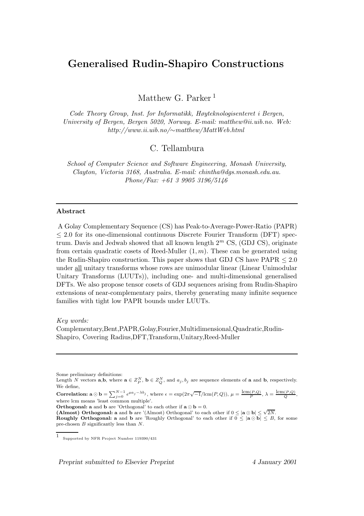# Generalised Rudin-Shapiro Constructions

Matthew G. Parker<sup>1</sup>

Code Theory Group, Inst. for Informatikk, Høyteknologisenteret i Bergen, University of Bergen, Bergen 5020, Norway. E-mail: matthew@ii.uib.no. Web: http://www.ii.uib.no/∼matthew/MattWeb.html

C. Tellambura

School of Computer Science and Software Engineering, Monash University, Clayton, Victoria 3168, Australia. E-mail: chintha@dgs.monash.edu.au. Phone/Fax: +61 3 9905 3196/5146

#### Abstract

A Golay Complementary Sequence (CS) has Peak-to-Average-Power-Ratio (PAPR) ≤ 2.0 for its one-dimensional continuous Discrete Fourier Transform (DFT) spectrum. Davis and Jedwab showed that all known length  $2<sup>m</sup>$  CS, (GDJ CS), originate from certain quadratic cosets of Reed-Muller  $(1, m)$ . These can be generated using the Rudin-Shapiro construction. This paper shows that GDJ CS have  $PAPR < 2.0$ under all unitary transforms whose rows are unimodular linear (Linear Unimodular Unitary Transforms (LUUTs)), including one- and multi-dimensional generalised DFTs. We also propose tensor cosets of GDJ sequences arising from Rudin-Shapiro extensions of near-complementary pairs, thereby generating many infinite sequence families with tight low PAPR bounds under LUUTs.

Key words:

Complementary,Bent,PAPR,Golay,Fourier,Multidimensional,Quadratic,Rudin-Shapiro, Covering Radius,DFT,Transform,Unitary,Reed-Muller

Some preliminary definitions:

Correlation:  $\mathbf{a} \odot \mathbf{b} = \sum_{j=0}^{N-1} \epsilon^{\mu a_j - \lambda b_j}$ , where  $\epsilon = \exp(2\pi\sqrt{-1}/\text{lcm}(P,Q))$ ,  $\mu = \frac{\text{lcm}(P,Q)}{P}$ ,  $\lambda = \frac{\text{lcm}(P,Q)}{Q}$ , where lcm means 'least common multiple'.

**Orthogonal:** a and **b** are 'Orthogonal' to each other if  $\mathbf{a} \odot \mathbf{b} = 0$ .

(Almost) Orthogonal: a and b are '(Almost) Orthogonal' to each other if  $0 \leq |\mathbf{a} \odot \mathbf{b}| \leq \sqrt{2N}$ . **Roughly Orthogonal:** a and b are 'Roughly Orthogonal' to each other if  $0 \leq |\mathbf{a} \odot \mathbf{b}| \leq B$ , for some pre-chosen B significantly less than N.

Preprint submitted to Elsevier Preprint 4 January 2001

Length N vectors  $a,b$ , where  $a \in Z_p^N$ ,  $b \in Z_Q^N$ , and  $a_j, b_j$  are sequence elements of a and b, respectively. We define,

<sup>1</sup> Supported by NFR Project Number 119390/431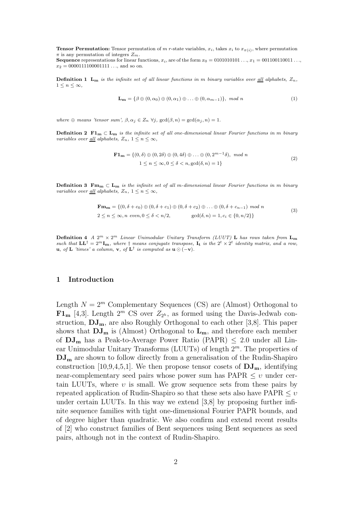**Tensor Permutation:** Tensor permutation of m r-state variables,  $x_i$ , takes  $x_i$  to  $x_{\pi(i)}$ , where permutation  $\pi$  is any permutation of integers  $Z_m$ .

Sequence representations for linear functions,  $x_i$ , are of the form  $x_0 = 0101010101 \dots, x_1 = 001100110011 \dots$  $x_2 = 0000111100001111...$ , and so on.

**Definition 1** L<sub>m</sub> is the infinite set of all linear functions in m binary variables over all alphabets,  $Z_n$ ,  $1 \leq n \leq \infty$ .

$$
\mathbf{L}_{\mathbf{m}} = \{ \beta \oplus (0, \alpha_0) \oplus (0, \alpha_1) \oplus \ldots \oplus (0, \alpha_{m-1}) \}, \mod n \tag{1}
$$

where  $\oplus$  means 'tensor sum',  $\beta, \alpha_j \in Z_n \ \forall j$ ,  $gcd(\beta, n) = gcd(\alpha_j, n) = 1$ .

Definition 2  $\text{F1}_m \subset L_m$  is the infinite set of all one-dimensional linear Fourier functions in m binary variables over <u>all</u> alphabets,  $Z_n$ ,  $1 \leq n \leq \infty$ ,

$$
\mathbf{F1}_{\mathbf{m}} = \{ (0, \delta) \oplus (0, 2\delta) \oplus (0, 4\delta) \oplus \ldots \oplus (0, 2^{m-1}\delta), \mod n
$$
  

$$
1 \le n \le \infty, 0 \le \delta < n, \gcd(\delta, n) = 1 \}
$$
\n
$$
(2)
$$

**Definition 3** Fm<sub>m</sub>  $\subset$  L<sub>m</sub> is the infinite set of all m-dimensional linear Fourier functions in m binary variables over <u>all</u> alphabets,  $Z_n$ ,  $1 \leq n \leq \infty$ ,

$$
\mathbf{Fm}_{\mathbf{m}} = \{ (0, \delta + c_0) \oplus (0, \delta + c_1) \oplus (0, \delta + c_2) \oplus \ldots \oplus (0, \delta + c_{n-1}) \mod n \}
$$
  
2 \le n \le \infty, n \ even, 0 \le \delta < n/2, \hspace{1cm} \gcd(\delta, n) = 1, c\_i \in \{0, n/2\} \} (3)

**Definition 4** A  $2^m \times 2^m$  Linear Unimodular Unitary Transform (LUUT) **L** has rows taken from  $\mathbf{L_m}$ such that  $\mathbf{L} \mathbf{L}^{\dagger} = 2^m \mathbf{I_m}$ , where  $\dagger$  means conjugate transpose,  $\mathbf{I_t}$  is the  $2^t \times 2^t$  identity matrix, and a row, **u**, of **L** 'times' a column, **v**, of **L**<sup>†</sup> is computed as **u** $\odot$  (-**v**).

# 1 Introduction

Length  $N = 2^m$  Complementary Sequences (CS) are (Almost) Orthogonal to  $\mathbf{F1}_{\mathbf{m}}$  [4,3]. Length  $2^m$  CS over  $Z_{2^h}$ , as formed using the Davis-Jedwab construction,  $DJ_{m}$ , are also Roughly Orthogonal to each other [3,8]. This paper shows that  $DJ_m$  is (Almost) Orthogonal to  $L_m$ , and therefore each member of  $DJ_m$  has a Peak-to-Average Power Ratio (PAPR)  $\leq$  2.0 under all Linear Unimodular Unitary Transforms (LUUTs) of length 2 <sup>m</sup>. The properties of  $DJ<sub>m</sub>$  are shown to follow directly from a generalisation of the Rudin-Shapiro construction [10,9,4,5,1]. We then propose tensor cosets of  $\mathbf{DJ}_{m}$ , identifying near-complementary seed pairs whose power sum has  $PAPR \leq v$  under certain LUUTs, where  $v$  is small. We grow sequence sets from these pairs by repeated application of Rudin-Shapiro so that these sets also have  $PAPR \leq v$ under certain LUUTs. In this way we extend [3,8] by proposing further infinite sequence families with tight one-dimensional Fourier PAPR bounds, and of degree higher than quadratic. We also confirm and extend recent results of [2] who construct families of Bent sequences using Bent sequences as seed pairs, although not in the context of Rudin-Shapiro.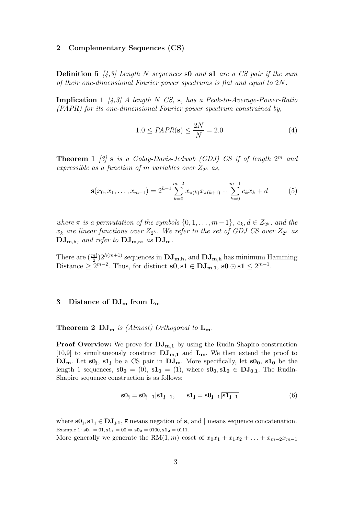#### 2 Complementary Sequences (CS)

**Definition 5** [4,3] Length N sequences s0 and s1 are a CS pair if the sum of their one-dimensional Fourier power spectrums is flat and equal to 2N.

**Implication 1**  $\begin{bmatrix} 4 & 3 \end{bmatrix}$  A length N CS, s, has a Peak-to-Average-Power-Ratio (PAPR) for its one-dimensional Fourier power spectrum constrained by,

$$
1.0 \le PAPR(\mathbf{s}) \le \frac{2N}{N} = 2.0\tag{4}
$$

**Theorem 1** [3] **s** is a Golay-Davis-Jedwab (GDJ) CS if of length  $2^m$  and expressible as a function of m variables over  $Z_{2^h}$  as,

$$
\mathbf{s}(x_0, x_1, \dots, x_{m-1}) = 2^{h-1} \sum_{k=0}^{m-2} x_{\pi(k)} x_{\pi(k+1)} + \sum_{k=0}^{m-1} c_k x_k + d \tag{5}
$$

where  $\pi$  is a permutation of the symbols  $\{0, 1, \ldots, m-1\}$ ,  $c_k, d \in Z_{2^h}$ , and the  $x_k$  are linear functions over  $Z_{2^h}$ . We refer to the set of GDJ CS over  $Z_{2^h}$  as  $\mathbf{DJ_{m,h}}$ , and refer to  $\mathbf{DJ_{m,\infty}}$  as  $\mathbf{DJ_{m}}$ .

There are  $(\frac{m!}{2})$  $\frac{2}{2}$ ) $2^{h(m+1)}$  sequences in  $\bf DJ_{m,h}$ , and  $\bf DJ_{m,h}$  has minimum Hamming Distance  $\geq 2^{m-2}$ . Thus, for distinct  $s0, s1 \in DJ_{m,1}$ ,  $s0 \odot s1 \leq 2^{m-1}$ .

# 3 Distance of  $DJ_m$  from  $L_m$

#### **Theorem 2 DJ<sub>m</sub>** is (Almost) Orthogonal to  $L_m$ .

**Proof Overview:** We prove for  $\mathbf{DJ}_{m,1}$  by using the Rudin-Shapiro construction [10,9] to simultaneously construct  $\mathbf{DJ}_{m,1}$  and  $\mathbf{L}_m$ . We then extend the proof to  $\overline{\mathrm{DJ}_{\mathrm{m}}}$ . Let  $\mathrm{s0}_{\mathrm{j}}$ ,  $\mathrm{s1}_{\mathrm{j}}$  be a CS pair in  $\overline{\mathrm{DJ}}_{\mathrm{m}}$ . More specifically, let  $\mathrm{s0}_{\mathrm{0}}$ ,  $\mathrm{s1}_{\mathrm{0}}$  be the length 1 sequences,  $\mathbf{s0_0} = (0)$ ,  $\mathbf{s1_0} = (1)$ , where  $\mathbf{s0_0}, \mathbf{s1_0} \in \mathbf{DJ}_{0,1}$ . The Rudin-Shapiro sequence construction is as follows:

$$
\mathbf{s0}_{\mathbf{j}} = \mathbf{s0}_{\mathbf{j}-1} | \mathbf{s1}_{\mathbf{j}-1}, \qquad \mathbf{s1}_{\mathbf{j}} = \mathbf{s0}_{\mathbf{j}-1} | \overline{\mathbf{s1}_{\mathbf{j}-1}} \tag{6}
$$

where  $s0_j, s1_j \in DJ_{j,1}$ ,  $\overline{s}$  means negation of  $s$ , and  $|$  means sequence concatenation. Example 1:  $s0_1 = 01$ ,  $s1_1 = 00 \Rightarrow s0_2 = 0100$ ,  $s1_2 = 0111$ .

More generally we generate the RM $(1, m)$  coset of  $x_0x_1 + x_1x_2 + \ldots + x_{m-2}x_{m-1}$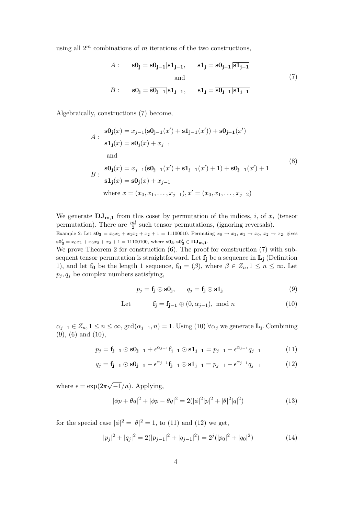using all  $2^m$  combinations of m iterations of the two constructions,

$$
A: \quad \mathbf{s0}_{\mathbf{j}} = \mathbf{s0}_{\mathbf{j}-1} | \mathbf{s1}_{\mathbf{j}-1}, \quad \mathbf{s1}_{\mathbf{j}} = \mathbf{s0}_{\mathbf{j}-1} | \overline{\mathbf{s1}_{\mathbf{j}-1}}
$$
  
and  

$$
B: \quad \mathbf{s0}_{\mathbf{j}} = \overline{\mathbf{s0}_{\mathbf{j}-1}} | \mathbf{s1}_{\mathbf{j}-1}, \quad \mathbf{s1}_{\mathbf{j}} = \overline{\mathbf{s0}_{\mathbf{j}-1}} | \overline{\mathbf{s1}_{\mathbf{j}-1}}
$$

$$
(7)
$$

Algebraically, constructions (7) become,

$$
A: \frac{\mathbf{s0}_{\mathbf{j}}(x) = x_{j-1}(\mathbf{s0}_{\mathbf{j-1}}(x') + \mathbf{s1}_{\mathbf{j-1}}(x')) + \mathbf{s0}_{\mathbf{j-1}}(x')}{\mathbf{s1}_{\mathbf{j}}(x) = \mathbf{s0}_{\mathbf{j}}(x) + x_{j-1}
$$
  
and  

$$
B: \frac{\mathbf{s0}_{\mathbf{j}}(x) = x_{j-1}(\mathbf{s0}_{\mathbf{j-1}}(x') + \mathbf{s1}_{\mathbf{j-1}}(x') + 1) + \mathbf{s0}_{\mathbf{j-1}}(x') + 1}{\mathbf{s1}_{\mathbf{j}}(x) = \mathbf{s0}_{\mathbf{j}}(x) + x_{j-1}}
$$
  
where  $x = (x_0, x_1, ..., x_{j-1}), x' = (x_0, x_1, ..., x_{j-2})$  (8)

We generate  $\mathbf{DJ_{m,1}}$  from this coset by permutation of the indices, *i*, of  $x_i$  (tensor permutation). There are  $\frac{m!}{2}$  such tensor permutations, (ignoring reversals). Example 2: Let  $s0_3 = x_0x_1 + x_1x_2 + x_2 + 1 = 11100010$ . Permuting  $x_0 \to x_1, x_1 \to x_0, x_2 \to x_2$ , gives  $\mathbf{s0_3'} = x_0x_1 + x_0x_2 + x_2 + 1 = 11100100$ , where  $\mathbf{s0_3}, \mathbf{s0_3'} \in \mathbf{DJ_{m,1}}$ .

We prove Theorem 2 for construction  $(6)$ . The proof for construction  $(7)$  with subsequent tensor permutation is straightforward. Let  $f_i$  be a sequence in  $L_i$  (Definition 1), and let  $f_0$  be the length 1 sequence,  $f_0 = (\beta)$ , where  $\beta \in Z_n, 1 \leq n \leq \infty$ . Let  $p_j, q_j$  be complex numbers satisfying,

$$
p_j = \mathbf{f_j} \odot \mathbf{s0_j}, \qquad q_j = \mathbf{f_j} \odot \mathbf{s1_j}
$$
 (9)

Let 
$$
\mathbf{f_j} = \mathbf{f_{j-1}} \oplus (0, \alpha_{j-1}), \text{ mod } n \tag{10}
$$

 $\alpha_{j-1} \in Z_n, 1 \leq n \leq \infty$ ,  $gcd(\alpha_{j-1}, n) = 1$ . Using (10)  $\forall \alpha_j$  we generate **L**<sub>j</sub>. Combining (9), (6) and (10),

$$
p_j = \mathbf{f}_{\mathbf{j}-1} \odot \mathbf{s0}_{\mathbf{j}-1} + \epsilon^{\alpha_{j-1}} \mathbf{f}_{\mathbf{j}-1} \odot \mathbf{s1}_{\mathbf{j}-1} = p_{j-1} + \epsilon^{\alpha_{j-1}} q_{j-1}
$$
(11)

$$
q_j = \mathbf{f}_{j-1} \odot \mathbf{s0}_{j-1} - \epsilon^{\alpha_{j-1}} \mathbf{f}_{j-1} \odot \mathbf{s1}_{j-1} = p_{j-1} - \epsilon^{\alpha_{j-1}} q_{j-1}
$$
(12)

where  $\epsilon = \exp(2\pi\sqrt{-1}/n)$ . Applying,

$$
|\phi p + \theta q|^2 + |\phi p - \theta q|^2 = 2(|\phi|^2 |p|^2 + |\theta|^2 |q|^2)
$$
\n(13)

for the special case  $|\phi|^2 = |\theta|^2 = 1$ , to (11) and (12) we get,

$$
|p_j|^2 + |q_j|^2 = 2(|p_{j-1}|^2 + |q_{j-1}|^2) = 2^j(|p_0|^2 + |q_0|^2)
$$
\n(14)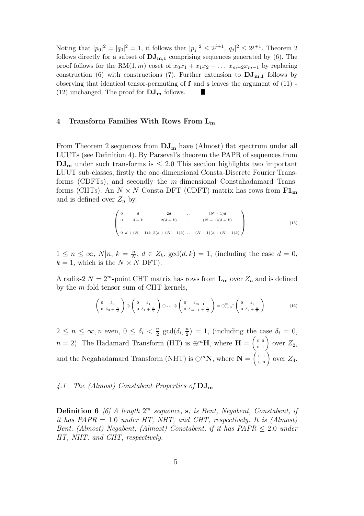Noting that  $|p_0|^2 = |q_0|^2 = 1$ , it follows that  $|p_j|^2 \leq 2^{j+1}$ ,  $|q_j|^2 \leq 2^{j+1}$ . Theorem 2 follows directly for a subset of  $\mathrm{DJ}_{m,1}$  comprising sequences generated by (6). The proof follows for the RM(1, m) coset of  $x_0x_1 + x_1x_2 + \ldots x_{m-2}x_{m-1}$  by replacing construction (6) with constructions (7). Further extension to  $\mathbf{DJ}_{m,1}$  follows by observing that identical tensor-permuting of  $f$  and  $s$  leaves the argument of  $(11)$  -(12) unchanged. The proof for  $\mathbf{DJ}_{\mathbf{m}}$  follows.

## 4 Transform Families With Rows From  $L_m$

From Theorem 2 sequences from  $DJ_{m}$  have (Almost) flat spectrum under all LUUTs (see Definition 4). By Parseval's theorem the PAPR of sequences from  $DJ_{m}$  under such transforms is  $\leq 2.0$  This section highlights two important LUUT sub-classes, firstly the one-dimensional Consta-Discrete Fourier Transforms (CDFTs), and secondly the m-dimensional Constahadamard Transforms (CHTs). An  $N \times N$  Consta-DFT (CDFT) matrix has rows from  $F1_m$ and is defined over  $Z_n$  by,

$$
\begin{pmatrix}\n0 & d & 2d & \dots & (N-1)d \\
0 & d+k & 2(d+k) & \dots & (N-1)(d+k) \\
\vdots & \vdots & \vdots & \vdots \\
0 & d+(N-1)k & 2(d+(N-1)k) & \dots & (N-1)(d+(N-1)k)\n\end{pmatrix}
$$
\n(15)

 $1 \leq n \leq \infty$ ,  $N|n, k = \frac{n}{N}$  $\frac{n}{N}, d \in Z_k$ ,  $gcd(d, k) = 1$ , (including the case  $d = 0$ ,  $k = 1$ , which is the  $N \times N$  DFT).

A radix-2  $N = 2<sup>m</sup>$ -point CHT matrix has rows from  $\mathbf{L}_{\mathbf{m}}$  over  $Z_n$  and is defined by the m-fold tensor sum of CHT kernels,

$$
\begin{pmatrix}\n0 & \delta_0 \\
0 & \delta_0 + \frac{n}{2}\n\end{pmatrix} \oplus \begin{pmatrix}\n0 & \delta_1 \\
0 & \delta_1 + \frac{n}{2}\n\end{pmatrix} \oplus \dots \oplus \begin{pmatrix}\n0 & \delta_{m-1} \\
0 & \delta_{m-1} + \frac{n}{2}\n\end{pmatrix} = \oplus_{i=0}^{m-1} \begin{pmatrix}\n0 & \delta_i \\
0 & \delta_i + \frac{n}{2}\n\end{pmatrix}
$$
\n(16)

 $2 \leq n \leq \infty, n \text{ even}, 0 \leq \delta_i < \frac{n}{2}$  $rac{n}{2}$  gcd $(\delta_i, \frac{n}{2})$  $\binom{n}{2} = 1$ , (including the case  $\delta_i = 0$ ,  $n = 2$ ). The Hadamard Transform (HT) is  $\bigoplus^m \mathbf{H}$ , where  $\mathbf{H} = \begin{pmatrix} 0 & 0 \\ 0 & 1 \end{pmatrix}$ 0 1 ) over  $Z_2$ , and the Negahadamard Transform (NHT) is  $\bigoplus^m \mathbb{N}$ , where  $\mathbb{N} = \left( \begin{smallmatrix} 0 & 1 \\ 0 & 3 \end{smallmatrix} \right)$ 0 3 ) over  $Z_4$ .

# 4.1 The (Almost) Constabent Properties of  $\rm{DJ}_{m}$

**Definition 6** [6] A length  $2^m$  sequence, s, is Bent, Negabent, Constabent, if it has  $PAPR = 1.0$  under HT, NHT, and CHT, respectively. It is (Almost) Bent, (Almost) Negabent, (Almost) Constabent, if it has PAPR ≤ 2.0 under HT, NHT, and CHT, respectively.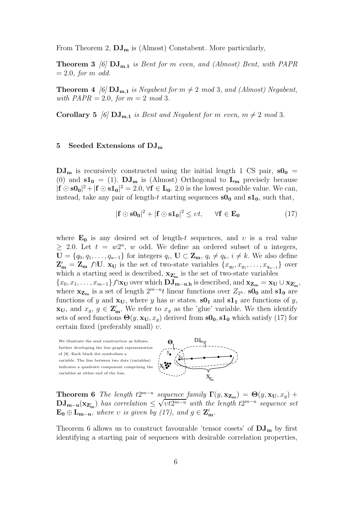From Theorem 2,  $DJ_m$  is (Almost) Constabent. More particularly,

**Theorem 3** [6]  $DJ_{m,1}$  is Bent for m even, and (Almost) Bent, with PAPR  $= 2.0$ , for m odd.

**Theorem 4** [6]  $\text{DJ}_{m,1}$  is Negabent for  $m \neq 2 \mod 3$ , and (Almost) Negabent, with  $PAPR = 2.0$ , for  $m = 2 \mod 3$ .

**Corollary 5** [6]  $\text{DJ}_{m,1}$  is Bent and Negabent for m even,  $m \neq 2 \mod 3$ .

#### 5 Seeded Extensions of  $\mathrm{DJ}_{\mathrm{m}}$

 $DJ_m$  is recursively constructed using the initial length 1 CS pair,  $sO_0$  = (0) and  $s1_0 = (1)$ .  $DJ_m$  is (Almost) Orthogonal to  $L_m$  precisely because  $|\mathbf{f} \odot \mathbf{s0_0}|^2 + |\mathbf{f} \odot \mathbf{s1_0}|^2 = 2.0, \forall \mathbf{f} \in \mathbf{L_0}$ . 2.0 is the lowest possible value. We can, instead, take any pair of length-t starting sequences  $\mathbf{S0}_0$  and  $\mathbf{S1}_0$ , such that,

$$
|\mathbf{f} \odot \mathbf{s0_0}|^2 + |\mathbf{f} \odot \mathbf{s1_0}|^2 \le vt, \quad \forall \mathbf{f} \in \mathbf{E_0}
$$
 (17)

 $X_{\!Z_{\!m}^\prime}$ /

where  $\mathbf{E}_0$  is any desired set of length-t sequences, and v is a real value  $\geq$  2.0. Let  $t = w2^u$ , w odd. We define an ordered subset of u integers,  $\mathbf{U} = \{q_0, q_1, \ldots, q_{u-1}\}\$ for integers  $q_i$ ,  $\mathbf{U} \subset \mathbf{Z_m}$ ,  $q_i \neq q_k$ ,  $i \neq k$ . We also define  $\mathbf{Z'_{m}} = \mathbf{Z_{m}}$   $\bigwedge \mathbf{U}$ .  $\mathbf{x_{U}}$  is the set of two-state variables  $\{x_{q_0}, x_{q_1}, \ldots, x_{q_{u-1}}\}$  over which a starting seed is described,  $\mathbf{x}_{\mathbf{Z}'_{m}}$  is the set of two-state variables  ${x_0, x_1, \ldots, x_{m-1}}\}\wedge\mathbf{x_U}$  over which  $\mathbf{DJ}_{\mathbf{m}-\mathbf{u},\mathbf{h}}$  is described, and  $\mathbf{x_{Z_m}} = \mathbf{x_U} \cup \mathbf{x_{Z'_m}}$ , where  $\mathbf{x}_{\mathbf{Z}_{m}}$  is a set of length  $2^{m-u}t$  linear functions over  $Z_{2^{h}}$ . so<sub>0</sub> and s<sub>1</sub><sup>0</sup> are functions of y and  $x_U$ , where y has w states.  $s0_1$  and  $s1_1$  are functions of y,  $\mathbf{x_U}$ , and  $x_g$ ,  $g \in \mathbf{Z'_m}$ . We refer to  $x_g$  as the 'glue' variable. We then identify sets of seed functions  $\Theta(y, \mathbf{x_U}, x_q)$  derived from  $\mathbf{s0_0}, \mathbf{s1_0}$  which satisfy (17) for certain fixed (preferably small)  $v$ .



**Theorem 6** The length  $t2^{m-u}$  sequence family  $\Gamma(y, \mathbf{x}_{\mathbf{Z}_m}) = \Theta(y, \mathbf{x}_{\mathbf{U}}, x_g) +$  $\mathbf{D} \mathbf{J}_{\mathbf{m}-\mathbf{u}}(\mathbf{x}_{\mathbf{Z}'_{\mathbf{m}}})$  has correlation  $\leq \sqrt{vt2^{m-u}}$  with the length  $t2^{m-u}$  sequence set  $\mathbf{E_0} \oplus \mathbf{L_{m-u}},$  where v is given by (17), and  $g \in \mathbf{Z'_m}.$ 

Theorem 6 allows us to construct favourable 'tensor cosets' of  $DJ_{m}$  by first identifying a starting pair of sequences with desirable correlation properties,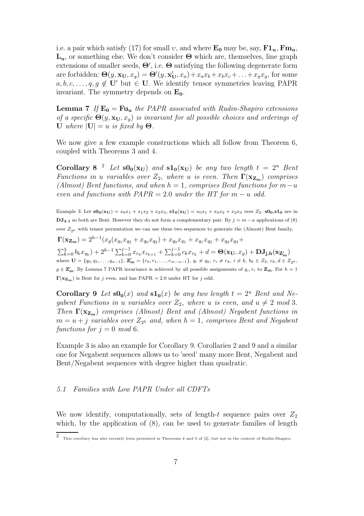i.e. a pair which satisfy (17) for small v, and where  $\mathbf{E_0}$  may be, say,  $\mathbf{F1_u}$ ,  $\mathbf{Fm_u}$ ,  $L_{u}$ , or something else. We don't consider  $\Theta$  which are, themselves, line graph extensions of smaller seeds,  $\Theta'$ , i.e.  $\Theta$  satisfying the following degenerate form are forbidden:  $\Theta(y, \mathbf{x_U}, x_g) = \Theta'(y, \mathbf{x_U'}, x_a) + x_a x_b + x_b x_c + \ldots + x_q x_g$ , for some  $a, b, c, \ldots, q, g \notin U'$  but  $\in U$ . We identify tensor symmetries leaving PAPR invariant. The symmetry depends on  $E_0$ .

**Lemma 7** If  $\mathbf{E_0} = \mathbf{F} \mathbf{u_u}$  the PAPR associated with Rudin-Shapiro extensions of a specific  $\Theta(y, \mathbf{x_U}, x_q)$  is invariant for all possible choices and orderings of U where  $|U| = u$  is fixed by  $\Theta$ .

We now give a few example constructions which all follow from Theorem 6, coupled with Theorems 3 and 4.

Corollary 8<sup>2</sup> Let  $\mathbf{s0}_0(\mathbf{x}_U)$  and  $\mathbf{s1}_0(\mathbf{x}_U)$  be any two length  $t = 2^u$  Bent Functions in u variables over  $Z_2$ , where u is even. Then  $\Gamma(\mathbf{x}_{\mathbf{Z}_{\mathbf{m}}})$  comprises (Almost) Bent functions, and when  $h = 1$ , comprises Bent functions for  $m - u$ even and functions with  $PAPR = 2.0$  under the HT for  $m - u$  odd.

Example 3: Let  $s0_0(x_U) = x_0x_1 + x_1x_2 + x_2x_3$ ,  $s1_0(x_U) = x_0x_1 + x_0x_2 + x_2x_3$  over  $Z_2$ .  $s0_0$ ,  $s1_0$  are in DJ<sub>4.1</sub> so both are Bent. However they do not form a complementary pair. By  $j = m - u$  applications of (8) over  $Z_{2h}$  with tensor permutation we can use these two sequences to generate the (Almost) Bent family,  $\Gamma(\mathbf{x_{Z_m}}) = 2^{h-1}(x_g(x_{q_1}x_{q_2} + x_{q_0}x_{q_2}) + x_{q_0}x_{q_1} + x_{q_1}x_{q_2} + x_{q_2}x_{q_3} +$  $\sum_{k=0}^{3} b_k x_{q_k} + 2^{h-1} \sum_{k=0}^{j-1} x_{r_k} x_{r_{k+1}} + \sum_{k=0}^{j-1} c_k x_{r_k} + d = \mathbf{\Theta}(\mathbf{x_U}, x_g) + \mathbf{DJ_{j,h}}(\mathbf{x_{Z'_m}})$ where  $\mathbf{U} = \{q_0, q_1, \ldots, q_{u-1}\}, \mathbf{Z}'_{m} = \{r_0, r_1, \ldots, r_{m-u-1}\}, q_i \neq q_k, r_i \neq r_k, i \neq k, b_k \in Z_2, c_k, d \in Z_{2^h},$  $g \in \mathbf{Z'_{m}}$ . By Lemma 7 PAPR invariance is achieved by all possible assignments of  $q_i, r_i$  to  $\mathbf{Z_m}$ . For  $h = 1$  $\Gamma(\mathbf{x}_{\mathbf{Z}_{\mathbf{m}}})$  is Bent for j even, and has PAPR = 2.0 under HT for j odd.

**Corollary 9** Let  $\mathbf{s0}_0(x)$  and  $\mathbf{s1}_0(x)$  be any two length  $t = 2^u$  Bent and Negabent Functions in u variables over  $Z_2$ , where u is even, and  $u \neq 2 \mod 3$ . Then  $\Gamma(\mathbf{x}_{\mathbf{Z}_{m}})$  comprises (Almost) Bent and (Almost) Negabent functions in  $m = u + j$  variables over  $Z_{2^h}$  and, when  $h = 1$ , comprises Bent and Negabent functions for  $j = 0 \mod 6$ .

Example 3 is also an example for Corollary 9. Corollaries 2 and 9 and a similar one for Negabent sequences allows us to 'seed' many more Bent, Negabent and Bent/Negabent sequences with degree higher than quadratic.

## 5.1 Families with Low PAPR Under all CDFTs

We now identify, computationally, sets of length-t sequence pairs over  $Z_2$ which, by the application of  $(8)$ , can be used to generate families of length

<sup>2</sup> This corollary has also recently been presented in Theorems 4 and 5 of [2], but not in the context of Rudin-Shapiro.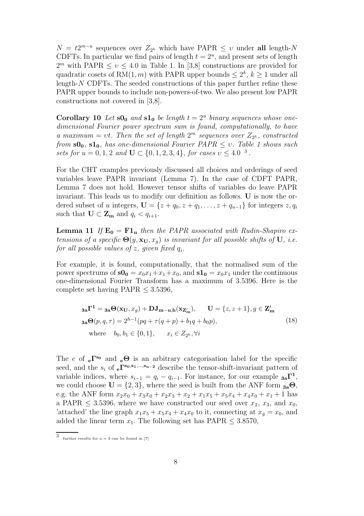$N = t2^{m-u}$  sequences over  $Z_{2^h}$  which have PAPR  $\leq v$  under all length-N CDFTs. In particular we find pairs of length  $t = 2<sup>u</sup>$ , and present sets of length  $2^m$  with PAPR  $\leq v \leq 4.0$  in Table 1. In [3,8] constructions are provided for quadratic cosets of RM $(1, m)$  with PAPR upper bounds  $\leq 2^k$ ,  $k \geq 1$  under all length-N CDFTs. The seeded constructions of this paper further refine these PAPR upper bounds to include non-powers-of-two. We also present low PAPR constructions not covered in [3,8].

**Corollary 10** Let  $\mathbf{s0}_0$  and  $\mathbf{s1}_0$  be length  $t = 2^u$  binary sequences whose onedimensional Fourier power spectrum sum is found, computationally, to have a maximum = vt. Then the set of length  $2^m$  sequences over  $Z_{2^h}$ , constructed from  $s0_0$ ,  $s1_0$ , has one-dimensional Fourier PAPR  $\leq v$ . Table 1 shows such sets for  $u = 0, 1, 2$  and  $\mathbf{U} \subset \{0, 1, 2, 3, 4\}$ , for cases  $v \leq 4.0^{-3}$ .

For the CHT examples previously discussed all choices and orderings of seed variables leave PAPR invariant (Lemma 7). In the case of CDFT PAPR, Lemma 7 does not hold. However tensor shifts of variables do leave PAPR invariant. This leads us to modify our definition as follows. U is now the ordered subset of u integers,  $\mathbf{U} = \{z + q_0, z + q_1, \ldots, z + q_{u-1}\}\$ for integers  $z, q_i$ such that  $\mathbf{U} \subset \mathbf{Z}_{\mathbf{m}}$  and  $q_i < q_{i+1}$ .

**Lemma 11** If  $E_0 = F1_u$  then the PAPR associated with Rudin-Shapiro extensions of a specific  $\Theta(y, \mathbf{x_U}, x_q)$  is invariant for all possible shifts of U, i.e.  $for\ all\ possible\ values\ of\ z,\ given\ fixed\ q_i.$ 

For example, it is found, computationally, that the normalised sum of the power spectrums of  $s0_0 = x_0x_1+x_1+x_0$ , and  $s1_0 = x_0x_1$  under the continuous one-dimensional Fourier Transform has a maximum of 3.5396. Here is the complete set having  $PAPR \leq 3.5396$ ,

$$
\mathbf{a}_a \mathbf{\Gamma}^1 = \mathbf{a}_a \mathbf{\Theta}(\mathbf{x}_U, x_g) + \mathbf{D} \mathbf{J}_{m-u,h}(\mathbf{x}_{\mathbf{Z}'_m}), \qquad \mathbf{U} = \{z, z+1\}, g \in \mathbf{Z}'_m
$$
  
\n
$$
\mathbf{a}_a \mathbf{\Theta}(p, q, \tau) = 2^{h-1} (pq + \tau(q+p) + b_1 q + b_0 p),
$$
  
\nwhere  $b_0, b_1 \in \{0, 1\}, \qquad x_i \in Z_{2^h}, \forall i$  (18)

The e of  $_{e}\Gamma^{s_0}$  and  $_{e}\Theta$  is an arbitrary categorisation label for the specific seed, and the  $s_i$  of  $e^{\Gamma^{s_0,s_1,...,s_{u-2}}}$  describe the tensor-shift-invariant pattern of variable indices, where  $s_{i-1} = q_i - q_{i-1}$ . For instance, for our example  $\mathbf{a_i} \mathbf{\Gamma}^1$ , we could choose  $\mathbf{U} = \{2, 3\}$ , where the seed is built from the ANF form  $_{3a}\Theta$ , e.g. the ANF form  $x_2x_0 + x_3x_0 + x_2x_3 + x_2 + x_1x_5 + x_5x_4 + x_4x_0 + x_1 + 1$  has a PAPR  $\leq$  3.5396, where we have constructed our seed over  $x_2$ ,  $x_3$ , and  $x_0$ , 'attached' the line graph  $x_1x_5 + x_5x_4 + x_4x_0$  to it, connecting at  $x_q = x_0$ , and added the linear term  $x_1$ . The following set has PAPR  $\leq 3.8570$ ,

<sup>3</sup> further results for  $u = 3$  can be found in [7]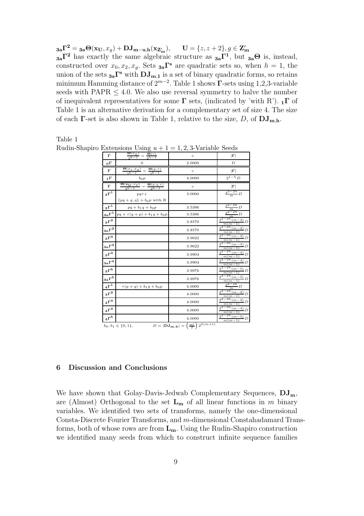$\mathbf{3a\Gamma}^2 = \mathbf{3a\Theta}(\mathbf{x_U}, x_g) + \mathbf{DJ_{m-u,h}}(\mathbf{x_{Z'_m}}), \qquad \mathbf{U} = \{z, z + 2\}, g \in \mathbf{Z'_m}$  $a_{3a}\Gamma^2$  has exactly the same algebraic structure as  $a_{3a}\Gamma^1$ , but  $a_{3a}\Theta$  is, instead, constructed over  $x_0, x_2, x_g$ . Sets  $a_n \Gamma^s$  are quadratic sets so, when  $h = 1$ , the union of the sets  $_{3a}\Gamma^s$  with  $DJ_{m,1}$  is a set of binary quadratic forms, so retains minimum Hamming distance of  $2^{m-2}$ . Table 1 shows  $\Gamma$ -sets using 1,2,3-variable seeds with  $PAPR \leq 4.0$ . We also use reversal symmetry to halve the number of inequivalent representatives for some  $\Gamma$  sets, (indicated by 'with R').  $_1\Gamma$  of Table 1 is an alternative derivation for a complementary set of size 4. The size of each **Γ**-set is also shown in Table 1, relative to the size, D, of  $\mathbf{DJ}_{m,h}$ .

Table 1

|                                                                                                         |                                                                          | $-$ , $-$ , $\sim$ |                                                                           |
|---------------------------------------------------------------------------------------------------------|--------------------------------------------------------------------------|--------------------|---------------------------------------------------------------------------|
| г                                                                                                       | $\frac{\Theta(x_g)}{2^{h-1}} = \frac{\Theta(\tau)}{2^{h-1}}$             | $\upsilon$         | $ \Gamma $                                                                |
| ${}_{0}\Gamma$                                                                                          | $\mathbf{0}$                                                             | 2.0000             | D                                                                         |
| г                                                                                                       | $\frac{\Theta(x_z, x_g)}{2^{h-1}} = \frac{\Theta(p, \tau)}{2^{h-1}}$     | $\upsilon$         | $ \Gamma $                                                                |
| $1^{\Gamma}$                                                                                            | $b_0 p$                                                                  | 4.0000             | $2^{1-h}D$                                                                |
| $\Gamma$                                                                                                | $\frac{\Theta(\mathbf{x_U}, x_g)}{2h-1} = \frac{\Theta(p,q,\tau)}{2h-1}$ | $\upsilon$         | $ \Gamma $                                                                |
| $2^{\Gamma^1}$                                                                                          | $pq\tau+$                                                                | 3.0000             | $\frac{2^{3-2h}}{m}D$                                                     |
|                                                                                                         | ${pq + q, q} + b_0 p$ with R                                             |                    |                                                                           |
| $_3\Gamma^1$                                                                                            | $pq + b_1q + b_0p$                                                       | 3.5396             | $\frac{2^{2}-2h}{m}D$                                                     |
| $_{3\mathrm{a}}\Gamma^{1}$                                                                              | $pq + \tau(q+p) + b_1q + b_0p$                                           | 3.5396             | $\frac{2^{2-2h}}{m}D$                                                     |
| $3^{\Gamma^2}$                                                                                          |                                                                          | 3.8570             | $\frac{2^{2-2h}(m-2)}{m(m-1)}D$                                           |
| $_{3a}\Gamma^2$                                                                                         |                                                                          | 3.8570             |                                                                           |
| $\boldsymbol{3\Gamma}^3$                                                                                |                                                                          | 3.9622             | $\frac{\frac{2^{2-2h} (m-2)}{m(m-1)} D}{\frac{2^{2-2h} (m-3)}{m(m-1)} D}$ |
| $_{3a}\Gamma^3$                                                                                         |                                                                          | 3.9622             | $2^{2-2h(m-3)}D$                                                          |
| $\mathrm{s} \Gamma^4$                                                                                   |                                                                          | 3.9904             | $\frac{m(m-1)}{2^{2-2h}(m-4)}D$<br>$\frac{m(m-1)}{m(m-1)}$                |
| $_{3a}\Gamma^4$                                                                                         |                                                                          | 3.9904             | $\frac{2^{2-2h} (m-4)}{m(m-1)} D$                                         |
| $_3\Gamma^5$                                                                                            |                                                                          | 3.9976             | $\frac{2^{2-2h}(m-5)}{m(m-1)}D$                                           |
| $_{3a}\Gamma ^{5}$                                                                                      |                                                                          | 3.9976             | $\frac{m}{2^{2-2h} (m-5)} D$<br>$m(m-1)$                                  |
| $4\Gamma^1$                                                                                             | $\tau(p+q) + b_1q + b_0p$                                                | 4.0000             | $\frac{1}{2^{2-2h}}D$                                                     |
| $\,4\Gamma^2$                                                                                           |                                                                          | 4.0000             | $\frac{2^{2-2h} (m-2)}{m(m-1)}D$                                          |
| $\,4\Gamma^3$                                                                                           |                                                                          | 4.0000             |                                                                           |
| $\,4\Gamma^4$                                                                                           |                                                                          | 4.0000             | $\frac{\frac{2^{2-2h} (m-3)}{m(m-1)} D}{\frac{2^{2-2h} (m-4)}{m(m-1)} D}$ |
| $4\Gamma^5$                                                                                             |                                                                          | 4.0000             | $\frac{2^{2-2h}(m-5)}{2}D$<br>$m(m-1)$                                    |
| $D =  \mathbf{DJ_{m,h}}  = \left(\frac{m!}{2}\right)2^{\overline{h(m+1)}}$<br>$b_0, b_1 \in \{0, 1\},\$ |                                                                          |                    |                                                                           |

# 6 Discussion and Conclusions

We have shown that Golay-Davis-Jedwab Complementary Sequences,  $DJ_m$ , are (Almost) Orthogonal to the set  $L_m$  of all linear functions in m binary variables. We identified two sets of transforms, namely the one-dimensional Consta-Discrete Fourier Transforms, and m-dimensional Constahadamard Transforms, both of whose rows are from  $L_m$ . Using the Rudin-Shapiro construction we identified many seeds from which to construct infinite sequence families